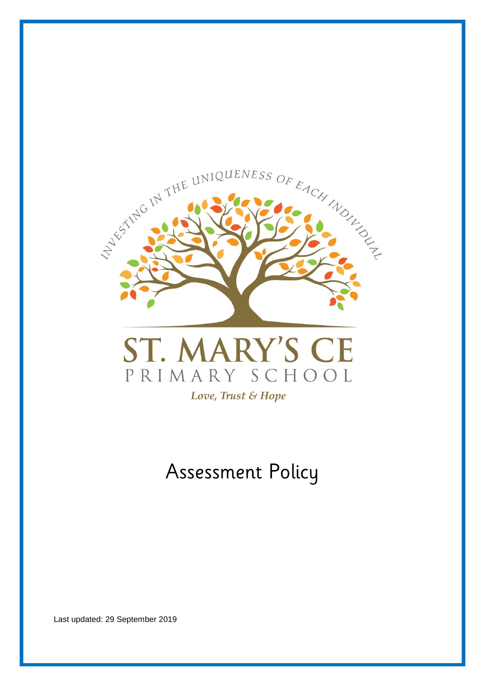



# Assessment Policy

Last updated: 29 September 2019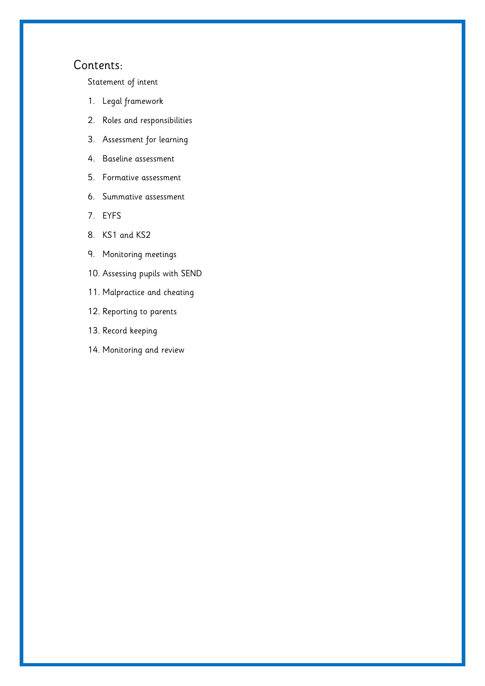# Contents:

[Statement of intent](#page-2-0)

- 1. [Legal framework](#page-3-0)
- 2. [Roles and responsibilities](#page-3-1)
- 3. [Assessment for learning](#page-6-0)
- 4. [Baseline assessment](#page-9-0)
- 5. [Formative assessment](#page-9-1)
- 6. [Summative assessment](#page-10-0)
- 7. [EYFS](#page-11-0)
- 8. [KS1 and KS2](#page-12-0)
- 9. [Monitoring meetings](#page-13-0)
- 10. [Assessing pupils with SEND](#page-13-1)
- 11. [Malpractice and cheating](#page-14-0)
- 12. [Reporting to parents](#page-14-1)
- 13. [Record keeping](#page-14-2)
- 14. [Monitoring and review](#page-15-0)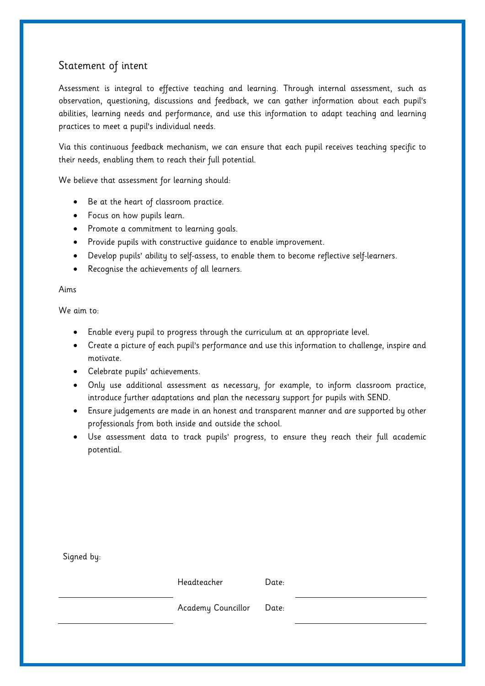# <span id="page-2-0"></span>Statement of intent

Assessment is integral to effective teaching and learning. Through internal assessment, such as observation, questioning, discussions and feedback, we can gather information about each pupil's abilities, learning needs and performance, and use this information to adapt teaching and learning practices to meet a pupil's individual needs.

Via this continuous feedback mechanism, we can ensure that each pupil receives teaching specific to their needs, enabling them to reach their full potential.

We believe that assessment for learning should:

- Be at the heart of classroom practice.
- Focus on how pupils learn.
- Promote a commitment to learning goals.
- Provide pupils with constructive guidance to enable improvement.
- Develop pupils' ability to self-assess, to enable them to become reflective self-learners.
- Recognise the achievements of all learners.

## Aims

We aim to:

- Enable every pupil to progress through the curriculum at an appropriate level.
- Create a picture of each pupil's performance and use this information to challenge, inspire and motivate.
- Celebrate pupils' achievements.
- Only use additional assessment as necessary, for example, to inform classroom practice, introduce further adaptations and plan the necessary support for pupils with SEND.
- Ensure judgements are made in an honest and transparent manner and are supported by other professionals from both inside and outside the school.
- Use assessment data to track pupils' progress, to ensure they reach their full academic potential.

| Signed by: |                    |       |  |
|------------|--------------------|-------|--|
|            | Headteacher        | Date: |  |
|            | Academy Councillor | Date: |  |
|            |                    |       |  |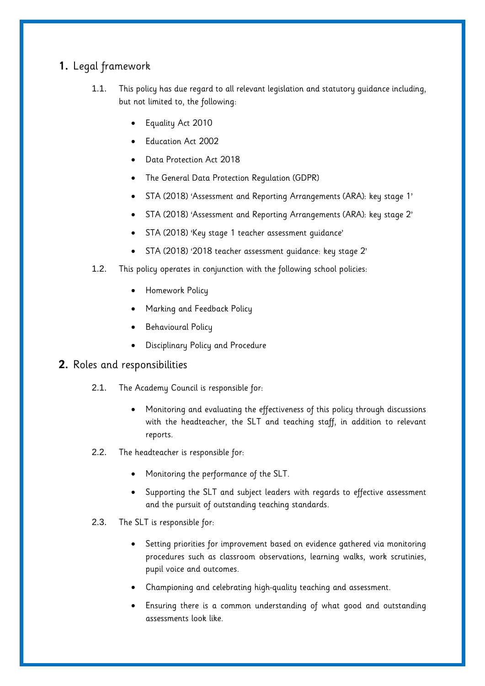# <span id="page-3-0"></span>**1.** Legal framework

- 1.1. This policy has due regard to all relevant legislation and statutory guidance including, but not limited to, the following:
	- Equality Act 2010
	- Education Act 2002
	- Data Protection Act 2018
	- The General Data Protection Regulation (GDPR)
	- STA (2018) 'Assessment and Reporting Arrangements (ARA): key stage 1'
	- STA (2018) 'Assessment and Reporting Arrangements (ARA): key stage 2'
	- STA (2018) 'Key stage 1 teacher assessment guidance'
	- STA (2018) '2018 teacher assessment guidance: key stage 2'
- 1.2. This policy operates in conjunction with the following school policies:
	- Homework Policy
	- Marking and Feedback Policy
	- Behavioural Policy
	- Disciplinary Policy and Procedure
- <span id="page-3-1"></span>**2.** Roles and responsibilities
	- 2.1. The Academy Council is responsible for:
		- Monitoring and evaluating the effectiveness of this policy through discussions with the headteacher, the SLT and teaching staff, in addition to relevant reports.
	- 2.2. The headteacher is responsible for:
		- Monitoring the performance of the SLT.
		- Supporting the SLT and subject leaders with regards to effective assessment and the pursuit of outstanding teaching standards.
	- 2.3. The SLT is responsible for:
		- Setting priorities for improvement based on evidence gathered via monitoring procedures such as classroom observations, learning walks, work scrutinies, pupil voice and outcomes.
		- Championing and celebrating high-quality teaching and assessment.
		- Ensuring there is a common understanding of what good and outstanding assessments look like.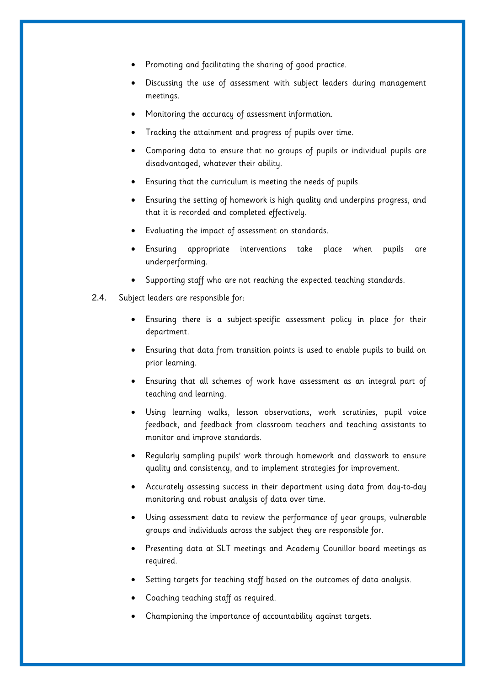- Promoting and facilitating the sharing of good practice.
- Discussing the use of assessment with subject leaders during management meetings.
- Monitoring the accuracy of assessment information.
- Tracking the attainment and progress of pupils over time.
- Comparing data to ensure that no groups of pupils or individual pupils are disadvantaged, whatever their ability.
- Ensuring that the curriculum is meeting the needs of pupils.
- Ensuring the setting of homework is high quality and underpins progress, and that it is recorded and completed effectively.
- Evaluating the impact of assessment on standards.
- Ensuring appropriate interventions take place when pupils are underperforming.
- Supporting staff who are not reaching the expected teaching standards.
- 2.4. Subject leaders are responsible for:
	- Ensuring there is a subject-specific assessment policy in place for their department.
	- Ensuring that data from transition points is used to enable pupils to build on prior learning.
	- Ensuring that all schemes of work have assessment as an integral part of teaching and learning.
	- Using learning walks, lesson observations, work scrutinies, pupil voice feedback, and feedback from classroom teachers and teaching assistants to monitor and improve standards.
	- Regularly sampling pupils' work through homework and classwork to ensure quality and consistency, and to implement strategies for improvement.
	- Accurately assessing success in their department using data from day-to-day monitoring and robust analysis of data over time.
	- Using assessment data to review the performance of year groups, vulnerable groups and individuals across the subject they are responsible for.
	- Presenting data at SLT meetings and Academy Counillor board meetings as required.
	- Setting targets for teaching staff based on the outcomes of data analysis.
	- Coaching teaching staff as required.
	- Championing the importance of accountability against targets.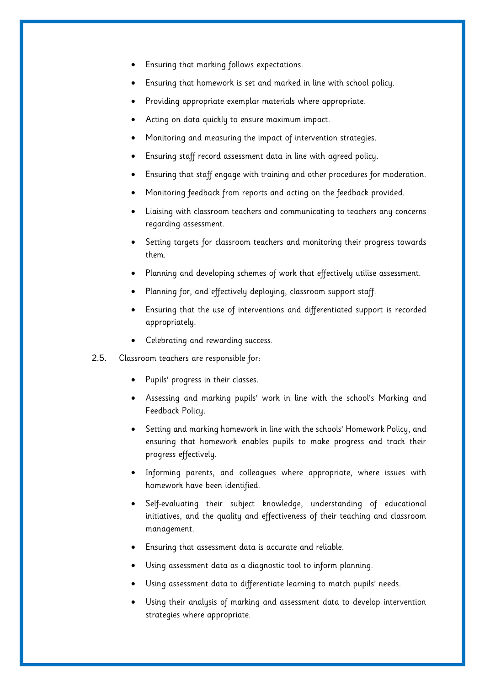- Ensuring that marking follows expectations.
- Ensuring that homework is set and marked in line with school policy.
- Providing appropriate exemplar materials where appropriate.
- Acting on data quickly to ensure maximum impact.
- Monitoring and measuring the impact of intervention strategies.
- Ensuring staff record assessment data in line with agreed policy.
- Ensuring that staff engage with training and other procedures for moderation.
- Monitoring feedback from reports and acting on the feedback provided.
- Liaising with classroom teachers and communicating to teachers any concerns regarding assessment.
- Setting targets for classroom teachers and monitoring their progress towards them.
- Planning and developing schemes of work that effectively utilise assessment.
- Planning for, and effectively deploying, classroom support staff.
- Ensuring that the use of interventions and differentiated support is recorded appropriately.
- Celebrating and rewarding success.
- 2.5. Classroom teachers are responsible for:
	- Pupils' progress in their classes.
	- Assessing and marking pupils' work in line with the school's Marking and Feedback Policy.
	- Setting and marking homework in line with the schools' Homework Policy, and ensuring that homework enables pupils to make progress and track their progress effectively.
	- Informing parents, and colleagues where appropriate, where issues with homework have been identified.
	- Self-evaluating their subject knowledge, understanding of educational initiatives, and the quality and effectiveness of their teaching and classroom management.
	- Ensuring that assessment data is accurate and reliable.
	- Using assessment data as a diagnostic tool to inform planning.
	- Using assessment data to differentiate learning to match pupils' needs.
	- Using their analysis of marking and assessment data to develop intervention strategies where appropriate.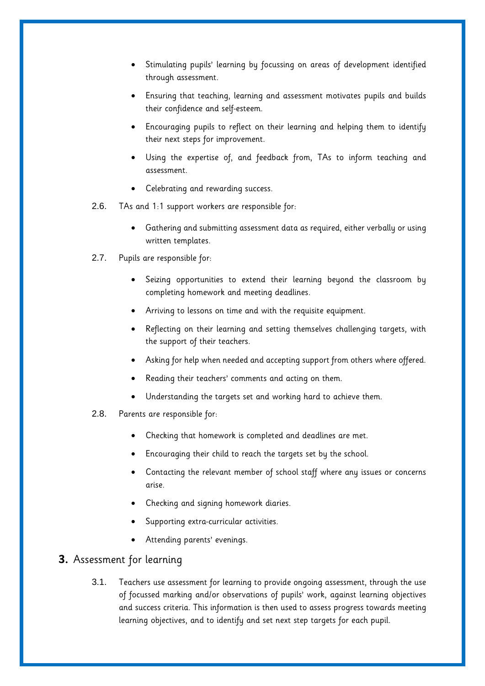- Stimulating pupils' learning by focussing on areas of development identified through assessment.
- Ensuring that teaching, learning and assessment motivates pupils and builds their confidence and self-esteem.
- Encouraging pupils to reflect on their learning and helping them to identify their next steps for improvement.
- Using the expertise of, and feedback from, TAs to inform teaching and assessment.
- Celebrating and rewarding success.
- 2.6. TAs and 1:1 support workers are responsible for:
	- Gathering and submitting assessment data as required, either verbally or using written templates.
- 2.7. Pupils are responsible for:
	- Seizing opportunities to extend their learning beyond the classroom by completing homework and meeting deadlines.
	- Arriving to lessons on time and with the requisite equipment.
	- Reflecting on their learning and setting themselves challenging targets, with the support of their teachers.
	- Asking for help when needed and accepting support from others where offered.
	- Reading their teachers' comments and acting on them.
	- Understanding the targets set and working hard to achieve them.
- 2.8. Parents are responsible for:
	- Checking that homework is completed and deadlines are met.
	- Encouraging their child to reach the targets set by the school.
	- Contacting the relevant member of school staff where any issues or concerns arise.
	- Checking and signing homework diaries.
	- Supporting extra-curricular activities.
	- Attending parents' evenings.

# <span id="page-6-0"></span>**3.** Assessment for learning

3.1. Teachers use assessment for learning to provide ongoing assessment, through the use of focussed marking and/or observations of pupils' work, against learning objectives and success criteria. This information is then used to assess progress towards meeting learning objectives, and to identify and set next step targets for each pupil.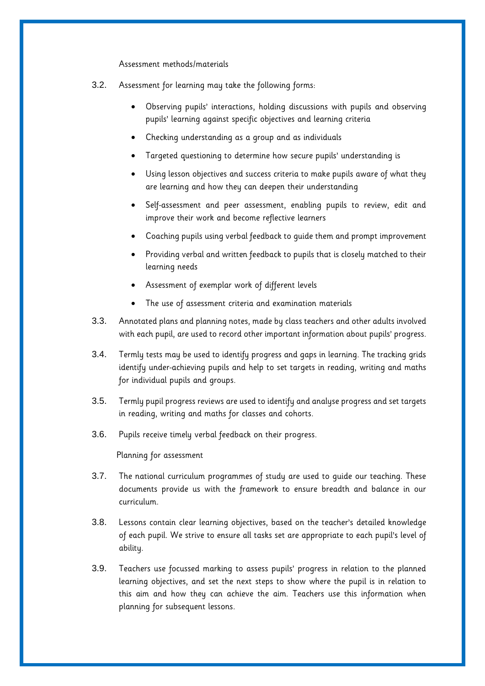Assessment methods/materials

- 3.2. Assessment for learning may take the following forms:
	- Observing pupils' interactions, holding discussions with pupils and observing pupils' learning against specific objectives and learning criteria
	- Checking understanding as a group and as individuals
	- Targeted questioning to determine how secure pupils' understanding is
	- Using lesson objectives and success criteria to make pupils aware of what they are learning and how they can deepen their understanding
	- Self-assessment and peer assessment, enabling pupils to review, edit and improve their work and become reflective learners
	- Coaching pupils using verbal feedback to guide them and prompt improvement
	- Providing verbal and written feedback to pupils that is closely matched to their learning needs
	- Assessment of exemplar work of different levels
	- The use of assessment criteria and examination materials
- 3.3. Annotated plans and planning notes, made by class teachers and other adults involved with each pupil, are used to record other important information about pupils' progress.
- 3.4. Termly tests may be used to identify progress and gaps in learning. The tracking grids identify under-achieving pupils and help to set targets in reading, writing and maths for individual pupils and groups.
- 3.5. Termly pupil progress reviews are used to identify and analyse progress and set targets in reading, writing and maths for classes and cohorts.
- 3.6. Pupils receive timely verbal feedback on their progress.

Planning for assessment

- 3.7. The national curriculum programmes of study are used to guide our teaching. These documents provide us with the framework to ensure breadth and balance in our curriculum.
- 3.8. Lessons contain clear learning objectives, based on the teacher's detailed knowledge of each pupil. We strive to ensure all tasks set are appropriate to each pupil's level of ability.
- 3.9. Teachers use focussed marking to assess pupils' progress in relation to the planned learning objectives, and set the next steps to show where the pupil is in relation to this aim and how they can achieve the aim. Teachers use this information when planning for subsequent lessons.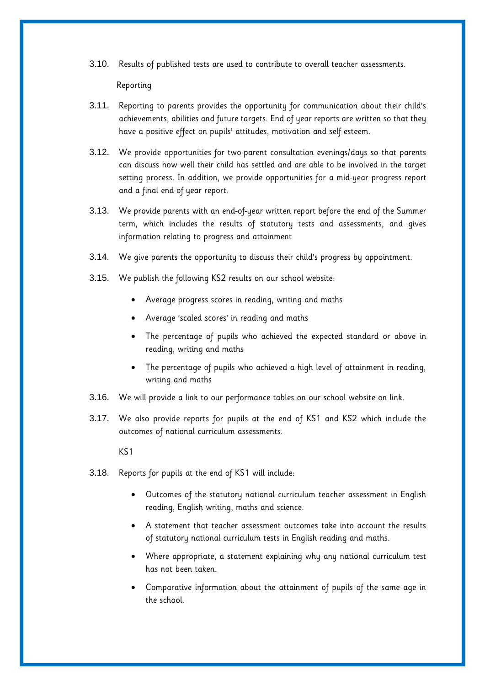3.10. Results of published tests are used to contribute to overall teacher assessments.

Reporting

- 3.11. Reporting to parents provides the opportunity for communication about their child's achievements, abilities and future targets. End of year reports are written so that they have a positive effect on pupils' attitudes, motivation and self-esteem.
- 3.12. We provide opportunities for two-parent consultation evenings/days so that parents can discuss how well their child has settled and are able to be involved in the target setting process. In addition, we provide opportunities for a mid-year progress report and a final end-of-year report.
- 3.13. We provide parents with an end-of-year written report before the end of the Summer term, which includes the results of statutory tests and assessments, and gives information relating to progress and attainment
- 3.14. We give parents the opportunity to discuss their child's progress by appointment.
- 3.15. We publish the following KS2 results on our school website:
	- Average progress scores in reading, writing and maths
	- Average 'scaled scores' in reading and maths
	- The percentage of pupils who achieved the expected standard or above in reading, writing and maths
	- The percentage of pupils who achieved a high level of attainment in reading, writing and maths
- 3.16. We will provide a link to our performance tables on our school website on link.
- 3.17. We also provide reports for pupils at the end of KS1 and KS2 which include the outcomes of national curriculum assessments.

KS1

- 3.18. Reports for pupils at the end of KS1 will include:
	- Outcomes of the statutory national curriculum teacher assessment in English reading, English writing, maths and science.
	- A statement that teacher assessment outcomes take into account the results of statutory national curriculum tests in English reading and maths.
	- Where appropriate, a statement explaining why any national curriculum test has not been taken.
	- Comparative information about the attainment of pupils of the same age in the school.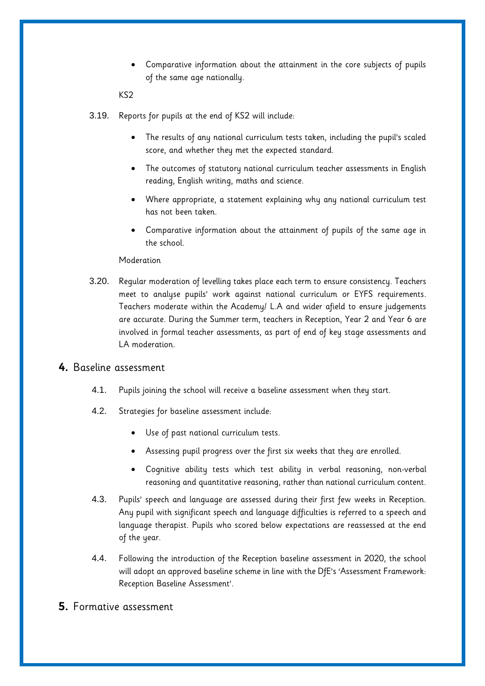Comparative information about the attainment in the core subjects of pupils of the same age nationally.

KS2

- 3.19. Reports for pupils at the end of KS2 will include:
	- The results of any national curriculum tests taken, including the pupil's scaled score, and whether they met the expected standard.
	- The outcomes of statutory national curriculum teacher assessments in English reading, English writing, maths and science.
	- Where appropriate, a statement explaining why any national curriculum test has not been taken.
	- Comparative information about the attainment of pupils of the same age in the school.

#### Moderation

3.20. Regular moderation of levelling takes place each term to ensure consistency. Teachers meet to analyse pupils' work against national curriculum or EYFS requirements. Teachers moderate within the Academy/ L.A and wider afield to ensure judgements are accurate. During the Summer term, teachers in Reception, Year 2 and Year 6 are involved in formal teacher assessments, as part of end of key stage assessments and LA moderation.

## <span id="page-9-0"></span>**4.** Baseline assessment

- 4.1. Pupils joining the school will receive a baseline assessment when they start.
- 4.2. Strategies for baseline assessment include:
	- Use of past national curriculum tests.
	- Assessing pupil progress over the first six weeks that they are enrolled.
	- Cognitive ability tests which test ability in verbal reasoning, non-verbal reasoning and quantitative reasoning, rather than national curriculum content.
- 4.3. Pupils' speech and language are assessed during their first few weeks in Reception. Any pupil with significant speech and language difficulties is referred to a speech and language therapist. Pupils who scored below expectations are reassessed at the end of the year.
- 4.4. Following the introduction of the Reception baseline assessment in 2020, the school will adopt an approved baseline scheme in line with the DfE's 'Assessment Framework: Reception Baseline Assessment'.
- <span id="page-9-1"></span>**5.** Formative assessment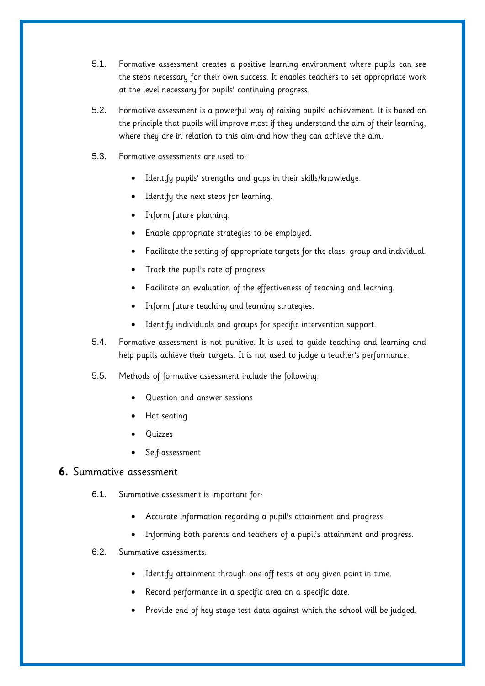- 5.1. Formative assessment creates a positive learning environment where pupils can see the steps necessary for their own success. It enables teachers to set appropriate work at the level necessary for pupils' continuing progress.
- 5.2. Formative assessment is a powerful way of raising pupils' achievement. It is based on the principle that pupils will improve most if they understand the aim of their learning, where they are in relation to this aim and how they can achieve the aim.
- 5.3. Formative assessments are used to:
	- Identify pupils' strengths and gaps in their skills/knowledge.
	- Identify the next steps for learning.
	- Inform future planning.
	- Enable appropriate strategies to be employed.
	- Facilitate the setting of appropriate targets for the class, group and individual.
	- Track the pupil's rate of progress.
	- Facilitate an evaluation of the effectiveness of teaching and learning.
	- Inform future teaching and learning strategies.
	- Identify individuals and groups for specific intervention support.
- 5.4. Formative assessment is not punitive. It is used to guide teaching and learning and help pupils achieve their targets. It is not used to judge a teacher's performance.
- 5.5. Methods of formative assessment include the following:
	- Question and answer sessions
	- Hot seating
	- Quizzes
	- Self-assessment

## <span id="page-10-0"></span>**6.** Summative assessment

- 6.1. Summative assessment is important for:
	- Accurate information regarding a pupil's attainment and progress.
	- Informing both parents and teachers of a pupil's attainment and progress.
- 6.2. Summative assessments:
	- Identify attainment through one-off tests at any given point in time.
	- Record performance in a specific area on a specific date.
	- Provide end of key stage test data against which the school will be judged.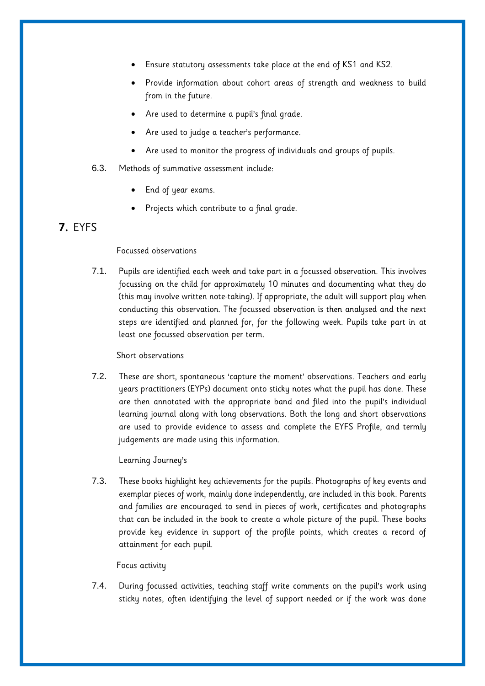- Ensure statutory assessments take place at the end of KS1 and KS2.
- Provide information about cohort areas of strength and weakness to build from in the future.
- Are used to determine a pupil's final grade.
- Are used to judge a teacher's performance.
- Are used to monitor the progress of individuals and groups of pupils.
- 6.3. Methods of summative assessment include:
	- End of year exams.
	- Projects which contribute to a final grade.

# <span id="page-11-0"></span>**7.** EYFS

#### Focussed observations

7.1. Pupils are identified each week and take part in a focussed observation. This involves focussing on the child for approximately 10 minutes and documenting what they do (this may involve written note-taking). If appropriate, the adult will support play when conducting this observation. The focussed observation is then analysed and the next steps are identified and planned for, for the following week. Pupils take part in at least one focussed observation per term.

#### Short observations

7.2. These are short, spontaneous 'capture the moment' observations. Teachers and early years practitioners (EYPs) document onto sticky notes what the pupil has done. These are then annotated with the appropriate band and filed into the pupil's individual learning journal along with long observations. Both the long and short observations are used to provide evidence to assess and complete the EYFS Profile, and termly judgements are made using this information.

Learning Journey's

7.3. These books highlight key achievements for the pupils. Photographs of key events and exemplar pieces of work, mainly done independently, are included in this book. Parents and families are encouraged to send in pieces of work, certificates and photographs that can be included in the book to create a whole picture of the pupil. These books provide key evidence in support of the profile points, which creates a record of attainment for each pupil.

#### Focus activity

7.4. During focussed activities, teaching staff write comments on the pupil's work using sticky notes, often identifying the level of support needed or if the work was done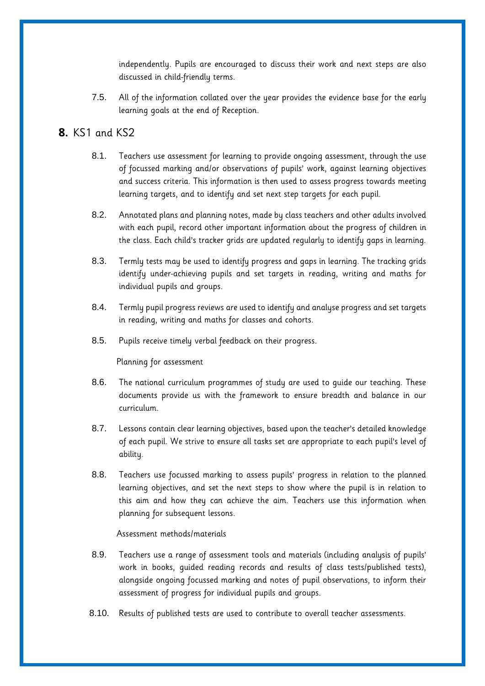independently. Pupils are encouraged to discuss their work and next steps are also discussed in child-friendly terms.

7.5. All of the information collated over the year provides the evidence base for the early learning goals at the end of Reception.

# <span id="page-12-0"></span>**8.** KS1 and KS2

- 8.1. Teachers use assessment for learning to provide ongoing assessment, through the use of focussed marking and/or observations of pupils' work, against learning objectives and success criteria. This information is then used to assess progress towards meeting learning targets, and to identify and set next step targets for each pupil.
- 8.2. Annotated plans and planning notes, made by class teachers and other adults involved with each pupil, record other important information about the progress of children in the class. Each child's tracker grids are updated regularly to identify gaps in learning.
- 8.3. Termly tests may be used to identify progress and gaps in learning. The tracking grids identify under-achieving pupils and set targets in reading, writing and maths for individual pupils and groups.
- 8.4. Termly pupil progress reviews are used to identify and analyse progress and set targets in reading, writing and maths for classes and cohorts.
- 8.5. Pupils receive timely verbal feedback on their progress.

Planning for assessment

- 8.6. The national curriculum programmes of study are used to guide our teaching. These documents provide us with the framework to ensure breadth and balance in our curriculum.
- 8.7. Lessons contain clear learning objectives, based upon the teacher's detailed knowledge of each pupil. We strive to ensure all tasks set are appropriate to each pupil's level of ability.
- 8.8. Teachers use focussed marking to assess pupils' progress in relation to the planned learning objectives, and set the next steps to show where the pupil is in relation to this aim and how they can achieve the aim. Teachers use this information when planning for subsequent lessons.

#### Assessment methods/materials

- 8.9. Teachers use a range of assessment tools and materials (including analysis of pupils' work in books, guided reading records and results of class tests/published tests), alongside ongoing focussed marking and notes of pupil observations, to inform their assessment of progress for individual pupils and groups.
- 8.10. Results of published tests are used to contribute to overall teacher assessments.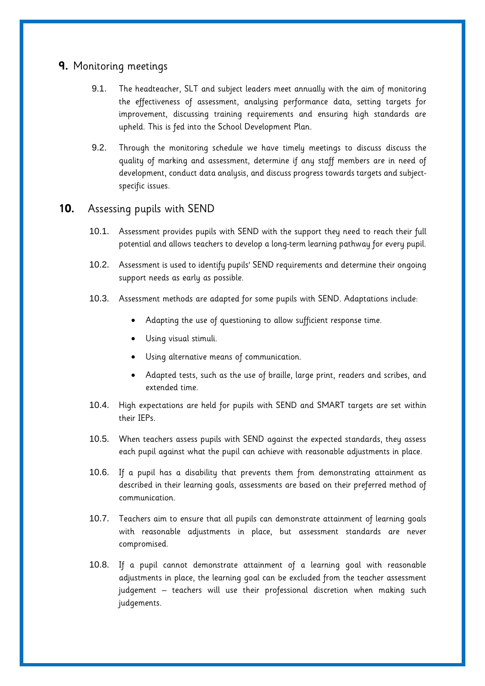## <span id="page-13-0"></span>**9.** Monitoring meetings

- 9.1. The headteacher, SLT and subject leaders meet annually with the aim of monitoring the effectiveness of assessment, analysing performance data, setting targets for improvement, discussing training requirements and ensuring high standards are upheld. This is fed into the School Development Plan.
- 9.2. Through the monitoring schedule we have timely meetings to discuss discuss the quality of marking and assessment, determine if any staff members are in need of development, conduct data analysis, and discuss progress towards targets and subjectspecific issues.

## <span id="page-13-1"></span>**10.** Assessing pupils with SEND

- 10.1. Assessment provides pupils with SEND with the support they need to reach their full potential and allows teachers to develop a long-term learning pathway for every pupil.
- 10.2. Assessment is used to identify pupils' SEND requirements and determine their ongoing support needs as early as possible.
- 10.3. Assessment methods are adapted for some pupils with SEND. Adaptations include:
	- Adapting the use of questioning to allow sufficient response time.
	- Using visual stimuli.
	- Using alternative means of communication.
	- Adapted tests, such as the use of braille, large print, readers and scribes, and extended time.
- 10.4. High expectations are held for pupils with SEND and SMART targets are set within their IEPs.
- 10.5. When teachers assess pupils with SEND against the expected standards, they assess each pupil against what the pupil can achieve with reasonable adjustments in place.
- 10.6. If a pupil has a disability that prevents them from demonstrating attainment as described in their learning goals, assessments are based on their preferred method of communication.
- 10.7. Teachers aim to ensure that all pupils can demonstrate attainment of learning goals with reasonable adjustments in place, but assessment standards are never compromised.
- 10.8. If a pupil cannot demonstrate attainment of a learning goal with reasonable adjustments in place, the learning goal can be excluded from the teacher assessment judgement – teachers will use their professional discretion when making such judgements.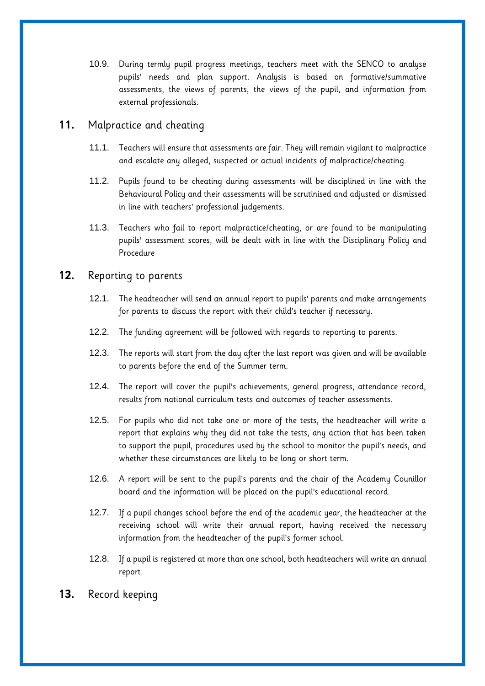10.9. During termly pupil progress meetings, teachers meet with the SENCO to analyse pupils' needs and plan support. Analysis is based on formative/summative assessments, the views of parents, the views of the pupil, and information from external professionals.

# <span id="page-14-0"></span>**11.** Malpractice and cheating

- 11.1. Teachers will ensure that assessments are fair. They will remain vigilant to malpractice and escalate any alleged, suspected or actual incidents of malpractice/cheating.
- 11.2. Pupils found to be cheating during assessments will be disciplined in line with the Behavioural Policy and their assessments will be scrutinised and adjusted or dismissed in line with teachers' professional judgements.
- 11.3. Teachers who fail to report malpractice/cheating, or are found to be manipulating pupils' assessment scores, will be dealt with in line with the Disciplinary Policy and Procedure

## <span id="page-14-1"></span>**12.** Reporting to parents

- 12.1. The headteacher will send an annual report to pupils' parents and make arrangements for parents to discuss the report with their child's teacher if necessary.
- 12.2. The funding agreement will be followed with regards to reporting to parents.
- 12.3. The reports will start from the day after the last report was given and will be available to parents before the end of the Summer term.
- 12.4. The report will cover the pupil's achievements, general progress, attendance record, results from national curriculum tests and outcomes of teacher assessments.
- 12.5. For pupils who did not take one or more of the tests, the headteacher will write a report that explains why they did not take the tests, any action that has been taken to support the pupil, procedures used by the school to monitor the pupil's needs, and whether these circumstances are likely to be long or short term.
- 12.6. A report will be sent to the pupil's parents and the chair of the Academy Counillor board and the information will be placed on the pupil's educational record.
- 12.7. If a pupil changes school before the end of the academic year, the headteacher at the receiving school will write their annual report, having received the necessary information from the headteacher of the pupil's former school.
- 12.8. If a pupil is registered at more than one school, both headteachers will write an annual report.
- <span id="page-14-2"></span>**13.** Record keeping